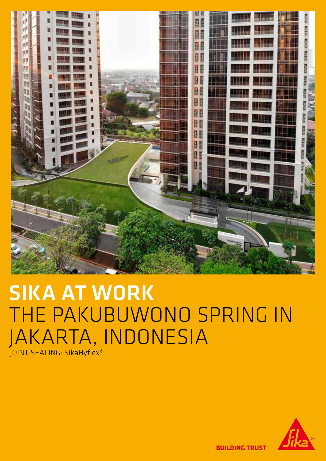

# SIKA AT WORK THE PAKUBUWONO SPRING IN JAKARTA, INDONESIA

JOINT SEALING: SikaHyflex®



**BUILDING TRUST**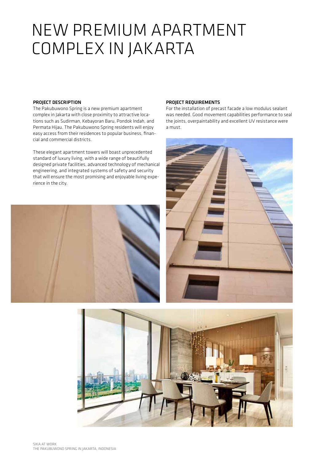### NEW PREMIUM APARTMENT COMPLEX IN JAKARTA

#### PROJECT DESCRIPTION

The Pakubuwono Spring is a new premium apartment complex in Jakarta with close proximity to attractive locations such as Sudirman, Kebayoran Baru, Pondok Indah, and Permata Hijau. The Pakubuwono Spring residents will enjoy easy access from their residences to popular business, financial and commercial districts.

These elegant apartment towers will boast unprecedented standard of luxury living, with a wide range of beautifully designed private facilities, advanced technology of mechanical engineering, and integrated systems of safety and security that will ensure the most promising and enjoyable living experience in the city.



#### PROJECT REQUIREMENTS

For the installation of precast facade a low modulus sealant was needed. Good movement capabilities performance to seal the joints, overpaintability and excellent UV resistance were a must.



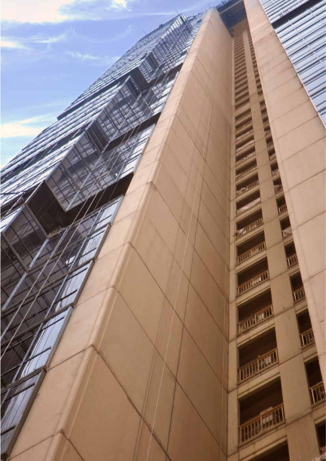